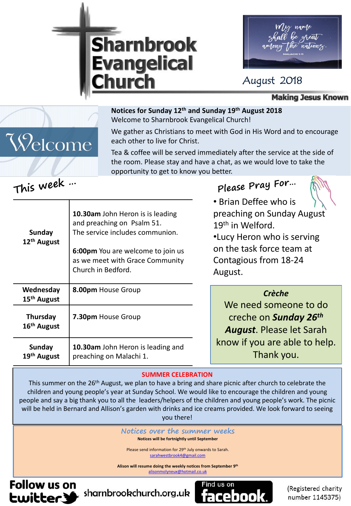



### August 2018

**Making Jesus Known** 

#### **Notices for Sunday 12th and Sunday 19th August 2018**  Welcome to Sharnbrook Evangelical Church!

We gather as Christians to meet with God in His Word and to encourage each other to live for Christ.

Tea & coffee will be served immediately after the service at the side of the room. Please stay and have a chat, as we would love to take the opportunity to get to know you better.

## **Please Pray For…**



• Brian Deffee who is preaching on Sunday August 19th in Welford.

•Lucy Heron who is serving on the task force team at Contagious from 18-24 August.

| Wednesday<br>15 <sup>th</sup> August | 8.00pm House Group                                           | <b>Crèche</b>                                         |
|--------------------------------------|--------------------------------------------------------------|-------------------------------------------------------|
| Thursday                             | 7.30pm House Group                                           | We need someone to do<br>creche on <b>Sunday 26th</b> |
| 16 <sup>th</sup> August              |                                                              | <b>August.</b> Please let Sarah                       |
| <b>Sunday</b><br>19th August         | 10.30am John Heron is leading and<br>preaching on Malachi 1. | know if you are able to help.<br>Thank you.           |

#### **SUMMER CELEBRATION**

This summer on the 26<sup>th</sup> August, we plan to have a bring and share picnic after church to celebrate the children and young people's year at Sunday School. We would like to encourage the children and young people and say a big thank you to all the leaders/helpers of the children and young people's work. The picnic will be held in Bernard and Allison's garden with drinks and ice creams provided. We look forward to seeing you there!

**Notices over the summer weeks**

**Notices will be fortnightly until September**

Please send information for 29<sup>th</sup> July onwards to Sarah. [sarahwestbrook4@gmail.com](mailto:sarahwestbrook4@gmail.com)

**Alison will resume doing the weekly notices from September 9th** [alisonmolyneux@hotmail.co.uk](mailto:alisonmolyneux@hotmail.co.uk)

**Follow us on Ewitter.3** 



(Registered charity number 1145375)

# **This week …**

Welcome

| Sunday<br>12 <sup>th</sup> August    | and preaching on Psalm 51.<br>The service includes communion.<br>6:00pm You are welcome to join us<br>as we meet with Grace Community<br>Church in Bedford. |
|--------------------------------------|-------------------------------------------------------------------------------------------------------------------------------------------------------------|
| Wednesday<br>15 <sup>th</sup> August | 8.00pm House Group                                                                                                                                          |
| <b>Thursday</b>                      | 7.30pm House Group                                                                                                                                          |